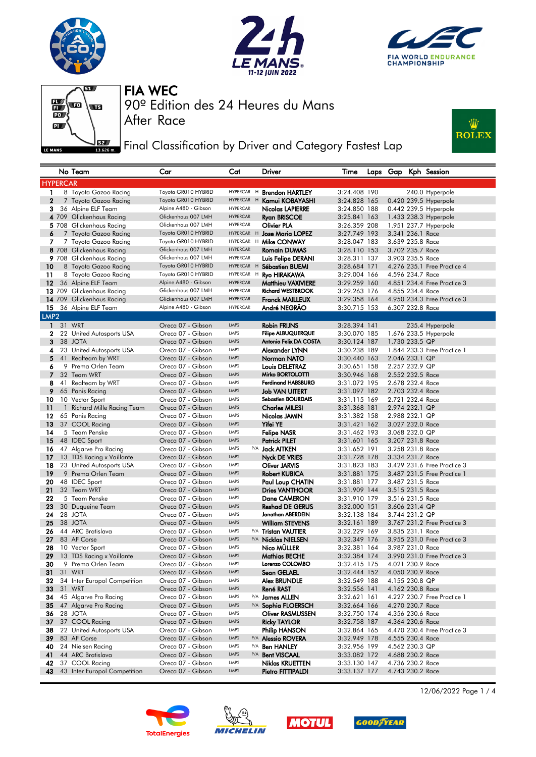







90º Edition des 24 Heures du Mans

After Race

FIA WEC

**Fig. 3** Final Classification by Driver and Category Fastest Lap



|                  |    | No Team                                            | Car                                         | Cat                                  | Driver                                             | Time                         |  |                  |                                      | Laps Gap Kph Session        |  |
|------------------|----|----------------------------------------------------|---------------------------------------------|--------------------------------------|----------------------------------------------------|------------------------------|--|------------------|--------------------------------------|-----------------------------|--|
| <b>HYPERCAR</b>  |    |                                                    |                                             |                                      |                                                    |                              |  |                  |                                      |                             |  |
| 1                |    | 8 Toyota Gazoo Racing                              | Toyota GR010 HYBRID                         |                                      | HYPERCAR H <b>Brendon HARTLEY</b>                  | 3:24.408 190                 |  |                  |                                      | 240.0 Hyperpole             |  |
| $\mathbf{2}$     |    | 7 Toyota Gazoo Racing                              | Toyota GR010 HYBRID                         | HYPERCAR H                           | Kamui KOBAYASHI                                    | 3:24.828 165                 |  |                  |                                      | 0.420 239.5 Hyperpole       |  |
| 3                |    | 36 Alpine ELF Team                                 | Alpine A480 - Gibson                        | HYPERCAR                             | <b>Nicolas LAPIERRE</b>                            | 3:24.850 188                 |  |                  |                                      | 0.442 239.5 Hyperpole       |  |
|                  |    | 4 709 Glickenhaus Racing                           | Glickenhaus 007 LMH                         | <b>HYPERCAR</b>                      | <b>Ryan BRISCOE</b>                                | 3:25.841 163                 |  |                  |                                      | 1.433 238.3 Hyperpole       |  |
|                  |    | 5 708 Glickenhaus Racing                           | Glickenhaus 007 LMH                         | <b>HYPERCAR</b>                      | Olivier PLA                                        | 3:26.359 208                 |  |                  |                                      | 1.951 237.7 Hyperpole       |  |
| 6                |    | 7 Toyota Gazoo Racing                              | Toyota GR010 HYBRID                         |                                      | HYPERCAR H Jose Maria LOPEZ                        | 3:27.749 193                 |  |                  | 3.341 236.1 Race                     |                             |  |
| 7                |    | 7 Toyota Gazoo Racing                              | Toyota GR010 HYBRID                         |                                      | HYPERCAR H Mike CONWAY                             | 3:28.047 183                 |  |                  | 3.639 235.8 Race                     |                             |  |
|                  |    | 8 708 Glickenhaus Racing                           | Glickenhaus 007 LMH                         | <b>HYPERCAR</b>                      | <b>Romain DUMAS</b>                                | 3:28.110 153                 |  |                  | 3.702 235.7 Race                     |                             |  |
|                  |    | 9 708 Glickenhaus Racing                           | Glickenhaus 007 LMH                         | <b>HYPERCAR</b>                      | Luis Felipe DERANI                                 | 3:28.311 137                 |  |                  | 3.903 235.5 Race                     |                             |  |
| 10               |    | 8 Toyota Gazoo Racing                              | Toyota GR010 HYBRID                         | <b>HYPERCAR</b><br>H                 | Sébastien BUEMI                                    | 3:28.684 171                 |  |                  |                                      | 4.276 235.1 Free Practice 4 |  |
| 11               |    | 8 Toyota Gazoo Racing                              | Toyota GR010 HYBRID                         | HYPERCAR H                           | <b>Ryo HIRAKAWA</b>                                | 3:29.004 166                 |  |                  | 4.596 234.7 Race                     |                             |  |
| 12               |    | 36 Alpine ELF Team                                 | Alpine A480 - Gibson<br>Glickenhaus 007 LMH | <b>HYPERCAR</b>                      | <b>Matthieu VAXIVIERE</b>                          | 3:29.259 160                 |  |                  |                                      | 4.851 234.4 Free Practice 3 |  |
|                  |    | 13 709 Glickenhaus Racing                          | Glickenhaus 007 LMH                         | <b>HYPERCAR</b><br><b>HYPERCAR</b>   | <b>Richard WESTBROOK</b><br><b>Franck MAILLEUX</b> | 3:29.263 176                 |  |                  | 4.855 234.4 Race                     |                             |  |
| 15               |    | 14 709 Glickenhaus Racing<br>36 Alpine ELF Team    | Alpine A480 - Gibson                        | HYPERCAR                             | André NEGRÃO                                       | 3:29.358 164<br>3:30.715 153 |  | 6.307 232.8 Race |                                      | 4.950 234.3 Free Practice 3 |  |
| LMP <sub>2</sub> |    |                                                    |                                             |                                      |                                                    |                              |  |                  |                                      |                             |  |
| $\mathbf{1}$     |    | 31 WRT                                             | Oreca 07 - Gibson                           | LMP <sub>2</sub>                     | <b>Robin FRIJNS</b>                                | 3:28.394 141                 |  |                  |                                      | 235.4 Hyperpole             |  |
| $\mathbf{2}$     |    | 22 United Autosports USA                           | Oreca 07 - Gibson                           | LMP <sub>2</sub>                     | <b>Filipe ALBUQUERQUE</b>                          | 3:30.070 185                 |  |                  |                                      | 1.676 233.5 Hyperpole       |  |
| 3                |    | 38 JOTA                                            | Oreca 07 - Gibson                           | LMP <sub>2</sub>                     | Antonio Felix DA COSTA                             | 3:30.124 187                 |  |                  | 1.730 233.5 QP                       |                             |  |
| 4                |    | 23 United Autosports USA                           | Oreca 07 - Gibson                           | LMP <sub>2</sub>                     | Alexander LYNN                                     | 3:30.238 189                 |  |                  |                                      | 1.844 233.3 Free Practice 1 |  |
| 5                | 41 | Realteam by WRT                                    | Oreca 07 - Gibson                           | LMP <sub>2</sub>                     | Norman NATO                                        | 3:30.440 163                 |  |                  | 2.046 233.1 QP                       |                             |  |
| 6                |    | 9 Prema Orlen Team                                 | Oreca 07 - Gibson                           | LMP <sub>2</sub>                     | <b>Louis DELETRAZ</b>                              | 3:30.651 158                 |  |                  | 2.257 232.9 QP                       |                             |  |
| $\overline{7}$   |    | 32 Team WRT                                        | Oreca 07 - Gibson                           | LMP <sub>2</sub>                     | Mirko BORTOLOTTI                                   | 3:30.946 168                 |  |                  | 2.552 232.5 Race                     |                             |  |
| 8                |    | 41 Realteam by WRT                                 | Oreca 07 - Gibson                           | LMP <sub>2</sub>                     | <b>Ferdinand HABSBURG</b>                          | 3:31.072 195                 |  |                  | 2.678 232.4 Race                     |                             |  |
| 9                |    | 65 Panis Racing                                    | Oreca 07 - Gibson                           | LMP <sub>2</sub>                     | Job VAN UITERT                                     | 3:31.097 182                 |  |                  | 2.703 232.4 Race                     |                             |  |
| 10               |    | 10 Vector Sport                                    | Oreca 07 - Gibson                           | LMP <sub>2</sub>                     | <b>Sebastien BOURDAIS</b>                          | 3:31.115 169                 |  |                  | 2.721 232.4 Race                     |                             |  |
| 11               |    | 1 Richard Mille Racing Team                        | Oreca 07 - Gibson                           | LMP <sub>2</sub>                     | <b>Charles MILESI</b>                              | 3:31.368 181                 |  |                  | 2.974 232.1 QP                       |                             |  |
| 12               |    | 65 Panis Racing                                    | Oreca 07 - Gibson                           | LMP <sub>2</sub>                     | Nicolas JAMIN                                      | 3:31.382 158                 |  | 2.988 232.1 QP   |                                      |                             |  |
| 13               |    | 37 COOL Racing                                     | Oreca 07 - Gibson                           | LMP2                                 | Yifei YE                                           | 3:31.421 162                 |  |                  | 3.027 232.0 Race                     |                             |  |
| 14               |    | 5 Team Penske                                      | Oreca 07 - Gibson                           | LMP <sub>2</sub>                     | <b>Felipe NASR</b>                                 | 3:31.462 193                 |  |                  | 3.068 232.0 QP                       |                             |  |
| 15               |    | 48 IDEC Sport                                      | Oreca 07 - Gibson                           | LMP <sub>2</sub>                     | <b>Patrick PILET</b>                               | 3:31.601 165                 |  |                  | 3.207 231.8 Race                     |                             |  |
| 16<br>17         |    | 47 Algarve Pro Racing<br>13 TDS Racing x Vaillante | Oreca 07 - Gibson<br>Oreca 07 - Gibson      | LMP <sub>2</sub><br>LMP <sub>2</sub> | P/A <b>Jack AITKEN</b>                             | 3:31.652 191<br>3:31.728 178 |  |                  | 3.258 231.8 Race<br>3.334 231.7 Race |                             |  |
| 18               |    | 23 United Autosports USA                           | Oreca 07 - Gibson                           | LMP <sub>2</sub>                     | Nyck DE VRIES<br><b>Oliver JARVIS</b>              | 3:31.823 183                 |  |                  |                                      | 3.429 231.6 Free Practice 3 |  |
| 19               |    | 9 Prema Orlen Team                                 | Oreca 07 - Gibson                           | LMP <sub>2</sub>                     | <b>Robert KUBICA</b>                               | 3:31.881 175                 |  |                  |                                      | 3.487 231.5 Free Practice 1 |  |
| 20               |    | 48 IDEC Sport                                      | Oreca 07 - Gibson                           | LMP <sub>2</sub>                     | Paul Loup CHATIN                                   | 3:31.881 177                 |  |                  | 3.487 231.5 Race                     |                             |  |
| 21               |    | 32 Team WRT                                        | Oreca 07 - Gibson                           | LMP <sub>2</sub>                     | <b>Dries VANTHOOR</b>                              | 3:31.909 144                 |  |                  | 3.515 231.5 Race                     |                             |  |
| 22               |    | 5 Team Penske                                      | Oreca 07 - Gibson                           | LMP <sub>2</sub>                     | Dane CAMERON                                       | 3:31.910 179                 |  |                  | 3.516 231.5 Race                     |                             |  |
| 23               |    | 30 Duqueine Team                                   | Oreca 07 - Gibson                           | LMP <sub>2</sub>                     | <b>Reshad DE GERUS</b>                             | 3:32.000 151                 |  |                  | 3.606 231.4 QP                       |                             |  |
| 24               |    | 28 JOTA                                            | Oreca 07 - Gibson                           | LMP <sub>2</sub>                     | Jonathan ABERDEIN                                  | 3:32.138 184                 |  |                  | 3.744 231.2 QP                       |                             |  |
| 25               |    | 38 JOTA                                            | Oreca 07 - Gibson                           | LMP <sub>2</sub>                     | <b>William STEVENS</b>                             | 3:32.161 189                 |  |                  |                                      | 3.767 231.2 Free Practice 3 |  |
| 26               |    | 44 ARC Bratislava                                  | Oreca 07 - Gibson                           | LMP <sub>2</sub>                     | P/A Tristan VAUTIER                                | 3:32.229 169                 |  |                  | 3.835 231.1 Race                     |                             |  |
| 27               |    | 83 AF Corse                                        | Oreca 07 - Gibson                           | LMP <sub>2</sub>                     | P/A Nicklas NIELSEN                                | 3:32.349 176                 |  |                  |                                      | 3.955 231.0 Free Practice 3 |  |
| 28               |    | 10 Vector Sport                                    | Oreca 07 - Gibson                           | LMP <sub>2</sub>                     | Nico MÜLLER                                        | 3:32.381 164                 |  |                  | 3.987 231.0 Race                     |                             |  |
| 29               |    | 13 TDS Racing x Vaillante                          | Oreca 07 - Gibson                           | LMP2<br>LMP <sub>2</sub>             | <b>Mathias BECHE</b>                               | 3:32.384 174                 |  |                  |                                      | 3.990 231.0 Free Practice 3 |  |
| 30               |    | 9 Prema Orlen Team                                 | Oreca 07 - Gibson                           |                                      | Lorenzo COLOMBO<br>Sean GELAEL                     | 3:32.415 175                 |  |                  | 4.021 230.9 Race                     |                             |  |
| 31<br>32         |    | 31 WRT<br>34 Inter Europol Competition             | Oreca 07 - Gibson<br>Oreca 07 - Gibson      | LMP2<br>LMP <sub>2</sub>             | <b>Alex BRUNDLE</b>                                | 3:32.444 152<br>3:32.549 188 |  | 4.050 230.9 Race | 4.155 230.8 QP                       |                             |  |
| 33               |    | 31 WRT                                             | Oreca 07 - Gibson                           | LMP <sub>2</sub>                     | René RAST                                          | 3:32.556 141                 |  |                  | 4.162 230.8 Race                     |                             |  |
| 34               |    | 45 Algarve Pro Racing                              | Oreca 07 - Gibson                           | LMP <sub>2</sub>                     | P/A James ALLEN                                    | 3:32.621 161                 |  |                  |                                      | 4.227 230.7 Free Practice 1 |  |
| 35               |    | 47 Algarve Pro Racing                              | Oreca 07 - Gibson                           | LMP2                                 | P/A Sophia FLOERSCH                                | 3:32.664 166                 |  | 4.270 230.7 Race |                                      |                             |  |
| 36               |    | 28 JOTA                                            | Oreca 07 - Gibson                           | LMP <sub>2</sub>                     | <b>Oliver RASMUSSEN</b>                            | 3:32.750 174                 |  |                  | 4.356 230.6 Race                     |                             |  |
| 37               |    | 37 COOL Racing                                     | Oreca 07 - Gibson                           | LMP2                                 | <b>Ricky TAYLOR</b>                                | 3:32.758 187                 |  |                  | 4.364 230.6 Race                     |                             |  |
| 38               |    | 22 United Autosports USA                           | Oreca 07 - Gibson                           | LMP <sub>2</sub>                     | Philip HANSON                                      | 3:32.864 165                 |  |                  |                                      | 4.470 230.4 Free Practice 3 |  |
| 39               |    | 83 AF Corse                                        | Oreca 07 - Gibson                           | LMP <sub>2</sub>                     | P/A Alessio ROVERA                                 | 3:32.949 178                 |  |                  | 4.555 230.4 Race                     |                             |  |
| 40               |    | 24 Nielsen Racing                                  | Oreca 07 - Gibson                           | LMP <sub>2</sub><br>P/A              | <b>Ben HANLEY</b>                                  | 3:32.956 199                 |  |                  | 4.562 230.3 QP                       |                             |  |
| 41               |    | 44 ARC Bratislava                                  | Oreca 07 - Gibson                           | LMP2<br>P/A                          | <b>Bent VISCAAL</b>                                | 3:33.082 172                 |  |                  | 4.688 230.2 Race                     |                             |  |
| 42               |    | 37 COOL Racing                                     | Oreca 07 - Gibson                           | LMP <sub>2</sub>                     | <b>Niklas KRUETTEN</b>                             | 3:33.130 147                 |  |                  | 4.736 230.2 Race                     |                             |  |
|                  |    | 43 43 Inter Europol Competition                    | Oreca 07 - Gibson                           | LMP2                                 | Pietro FITTIPALDI                                  | 3:33.137 177                 |  |                  | 4.743 230.2 Race                     |                             |  |







**GOODFYEAR** 

12/06/2022 Page 1 / 4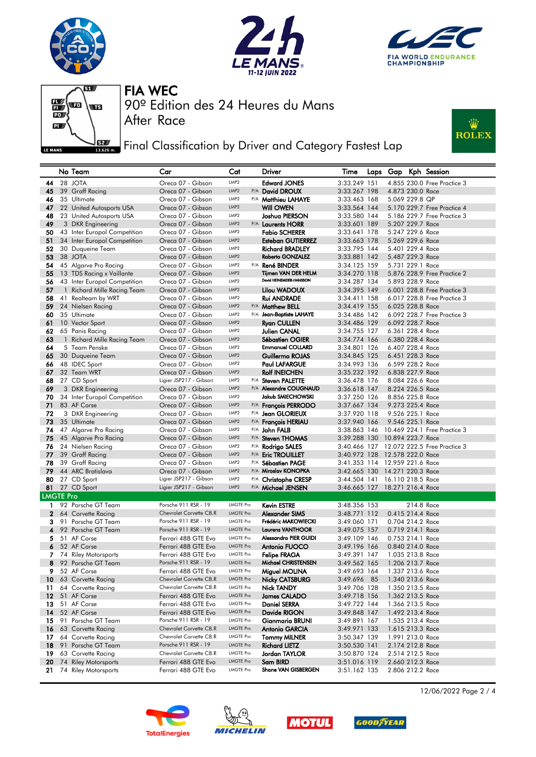







After Race

FIA WEC

90º Edition des 24 Heures du Mans

**Fig. 3** Final Classification by Driver and Category Fastest Lap



|                  |    | No Team                                                   | Car                                                | Cat                                  |     | Driver                                    | Time                           |                                      |            | Laps Gap Kph Session                      |
|------------------|----|-----------------------------------------------------------|----------------------------------------------------|--------------------------------------|-----|-------------------------------------------|--------------------------------|--------------------------------------|------------|-------------------------------------------|
| 44               |    | 28 JOTA                                                   | Oreca 07 - Gibson                                  | LMP2                                 |     | <b>Edward JONES</b>                       | 3:33.249 151                   |                                      |            | 4.855 230.0 Free Practice 3               |
| 45               |    | 39 Graff Racing                                           | Oreca 07 - Gibson                                  | LMP2                                 |     | P/A David DROUX                           | 3:33.267 198                   | 4.873 230.0 Race                     |            |                                           |
| 46               |    | 35 Ultimate                                               | Oreca 07 - Gibson                                  | LMP <sub>2</sub>                     |     | <sup>P/A</sup> Matthieu LAHAYE            | 3:33.463 168                   | 5.069 229.8 QP                       |            |                                           |
| 47               |    | 22 United Autosports USA                                  | Oreca 07 - Gibson                                  | LMP <sub>2</sub>                     |     | Will OWEN                                 | 3:33.564 144                   |                                      |            | 5.170 229.7 Free Practice 4               |
| 48               |    | 23 United Autosports USA                                  | Oreca 07 - Gibson                                  | LMP <sub>2</sub>                     |     | Joshua PIERSON                            | 3:33.580 144                   |                                      |            | 5.186 229.7 Free Practice 3               |
| 49               |    | 3 DKR Engineering                                         | Oreca 07 - Gibson                                  | LMP <sub>2</sub>                     |     | P/A Laurents HORR                         | 3:33.601 189                   | 5.207 229.7 Race                     |            |                                           |
| 50               |    | 43 Inter Europol Competition                              | Oreca 07 - Gibson                                  | LMP <sub>2</sub>                     |     | <b>Fabio SCHERER</b>                      | 3:33.641 178                   | 5.247 229.6 Race                     |            |                                           |
| 51               |    | 34 Inter Europol Competition                              | Oreca 07 - Gibson                                  | LMP <sub>2</sub>                     |     | <b>Esteban GUTIERREZ</b>                  | 3:33.663 178                   | 5.269 229.6 Race                     |            |                                           |
| 52               |    | 30 Duqueine Team                                          | Oreca 07 - Gibson                                  | LMP <sub>2</sub>                     |     | <b>Richard BRADLEY</b>                    | 3:33.795 144                   | 5.401 229.4 Race                     |            |                                           |
| 53               |    | 38 JOTA                                                   | Oreca 07 - Gibson                                  | LMP <sub>2</sub><br>LMP <sub>2</sub> |     | Roberto GONZALEZ                          | 3:33.881 142                   | 5.487 229.3 Race                     |            |                                           |
| 54               |    | 45 Algarve Pro Racing                                     | Oreca 07 - Gibson<br>Oreca 07 - Gibson             | LMP <sub>2</sub>                     | P/A | <b>René BINDER</b><br>Tijmen VAN DER HELM | 3:34.125 159                   | 5.731 229.1 Race                     |            | 5.876 228.9 Free Practice 2               |
| 55<br>56         |    | 13 TDS Racing x Vaillante<br>43 Inter Europol Competition | Oreca 07 - Gibson                                  | LMP <sub>2</sub>                     |     | David HEINEMEIER-HANSSON                  | 3:34.270 118<br>3:34.287 134   | 5.893 228.9 Race                     |            |                                           |
| 57               |    | 1 Richard Mille Racing Team                               | Oreca 07 - Gibson                                  | LMP <sub>2</sub>                     |     | Lilou WADOUX                              | 3:34.395 149                   |                                      |            | 6.001 228.8 Free Practice 3               |
| 58               |    | 41 Realteam by WRT                                        | Oreca 07 - Gibson                                  | LMP <sub>2</sub>                     |     | <b>Rui ANDRADE</b>                        | 3:34.411 158                   |                                      |            | 6.017 228.8 Free Practice 3               |
| 59               |    | 24 Nielsen Racing                                         | Oreca 07 - Gibson                                  | LMP <sub>2</sub>                     |     | P/A Matthew BELL                          | 3:34.419 155                   | 6.025 228.8 Race                     |            |                                           |
| 60               |    | 35 Ultimate                                               | Oreca 07 - Gibson                                  | LMP <sub>2</sub>                     |     | P/A Jean-Baptiste LAHAYE                  | 3:34.486 142                   |                                      |            | 6.092 228.7 Free Practice 3               |
| 61               |    | 10 Vector Sport                                           | Oreca 07 - Gibson                                  | LMP2                                 |     | <b>Ryan CULLEN</b>                        | 3:34.486 129                   | 6.092 228.7 Race                     |            |                                           |
| 62               |    | 65 Panis Racing                                           | Oreca 07 - Gibson                                  | LMP <sub>2</sub>                     |     | Julien CANAL                              | 3:34.755 127                   | 6.361 228.4 Race                     |            |                                           |
| 63               |    | 1 Richard Mille Racing Team                               | Oreca 07 - Gibson                                  | LMP <sub>2</sub>                     |     | <b>Sébastien OGIER</b>                    | 3:34.774 166                   | 6.380 228.4 Race                     |            |                                           |
| 64               |    | 5 Team Penske                                             | Oreca 07 - Gibson                                  | LMP <sub>2</sub>                     |     | <b>Emmanuel COLLARD</b>                   | 3:34.801 126                   | 6.407 228.4 Race                     |            |                                           |
| 65               |    | 30 Duqueine Team                                          | Oreca 07 - Gibson                                  | LMP <sub>2</sub>                     |     | Guillermo ROJAS                           | 3:34.845 125                   | 6.451 228.3 Race                     |            |                                           |
| 66               |    | 48 IDEC Sport                                             | Oreca 07 - Gibson                                  | LMP2                                 |     | <b>Paul LAFARGUE</b>                      | 3:34.993 136                   | 6.599 228.2 Race                     |            |                                           |
| 67               |    | 32 Team WRT                                               | Oreca 07 - Gibson                                  | LMP <sub>2</sub>                     |     | <b>Rolf INEICHEN</b>                      | 3:35.232 192                   | 6.838 227.9 Race                     |            |                                           |
| 68               |    | 27 CD Sport                                               | Ligier JSP217 - Gibson                             | LMP <sub>2</sub>                     |     | P/A Steven PALETTE                        | 3:36.478 176                   | 8.084 226.6 Race                     |            |                                           |
| 69               |    | 3 DKR Engineering                                         | Oreca 07 - Gibson                                  | LMP2                                 |     | P/A Alexandre COUGNAUD                    | 3:36.618 147                   | 8.224 226.5 Race                     |            |                                           |
| 70               |    | 34 Inter Europol Competition                              | Oreca 07 - Gibson                                  | LMP <sub>2</sub>                     |     | Jakub SMIECHOWSKI                         | 3:37.250 126                   | 8.856 225.8 Race                     |            |                                           |
| 71               |    | 83 AF Corse                                               | Oreca 07 - Gibson                                  | LMP2                                 |     | P/A Francois PERRODO                      | 3:37.667 134                   | 9.273 225.4 Race                     |            |                                           |
| 72               |    | 3 DKR Engineering                                         | Oreca 07 - Gibson                                  | LMP2<br>LMP2                         |     | P/A Jean GLORIEUX                         | 3:37.920 118                   | 9.526 225.1 Race                     |            |                                           |
| 73               |    | 35 Ultimate                                               | Oreca 07 - Gibson                                  | LMP <sub>2</sub>                     |     | P/A François HERIAU                       | 3:37.940 166                   | 9.546 225.1 Race                     |            |                                           |
| 74<br>75         |    | 47 Algarve Pro Racing<br>45 Algarve Pro Racing            | Oreca 07 - Gibson<br>Oreca 07 - Gibson             | LMP2                                 |     | P/A John FALB<br>P/A Steven THOMAS        | 3:38.863 146<br>3:39.288 130   | 10.894 223.7 Race                    |            | 10.469 224.1 Free Practice 3              |
| 76               |    | 24 Nielsen Racing                                         | Oreca 07 - Gibson                                  | LMP2                                 |     | P/A Rodrigo SALES                         |                                |                                      |            | 3:40.466 127 12.072 222.5 Free Practice 3 |
| 77               |    | 39 Graff Racing                                           | Oreca 07 - Gibson                                  | LMP <sub>2</sub>                     |     | P/A Eric TROUILLET                        | 3:40.972 128 12.578 222.0 Race |                                      |            |                                           |
| 78               |    | 39 Graff Racing                                           | Oreca 07 - Gibson                                  | LMP <sub>2</sub>                     |     | P/A Sébastien PAGE                        | 3:41.353 114 12.959 221.6 Race |                                      |            |                                           |
| 79               |    | 44 ARC Bratislava                                         | Oreca 07 - Gibson                                  | LMP2                                 |     | P/A Miroslav KONOPKA                      | 3:42.665 130 14.271 220.3 Race |                                      |            |                                           |
| 80               |    | 27 CD Sport                                               | Ligier JSP217 - Gibson                             | LMP2                                 |     | P/A Christophe CRESP                      | 3:44.504 141 16.110 218.5 Race |                                      |            |                                           |
| 81               |    | 27 CD Sport                                               | Ligier JSP217 - Gibson                             | LMP2                                 |     | P/A Michael JENSEN                        | 3:46.665 127                   | 18.271 216.4 Race                    |            |                                           |
| <b>LMGTE Pro</b> |    |                                                           |                                                    |                                      |     |                                           |                                |                                      |            |                                           |
| $\mathbf{1}$     |    | 92 Porsche GT Team                                        | Porsche 911 RSR - 19                               | <b>LMGTE Pro</b>                     |     | <b>Kevin ESTRE</b>                        | 3:48.356 153                   |                                      | 214.8 Race |                                           |
| $\mathbf 2$      |    | 64 Corvette Racing                                        | Chevrolet Corvette C8.R                            | <b>LMGTE Pro</b>                     |     | Alexander SIMS                            | 3:48.771 112                   | 0.415 214.4 Race                     |            |                                           |
| 3.               |    | 91 Porsche GT Team                                        | Porsche 911 RSR - 19                               | <b>LMGTE Pro</b>                     |     | Frédéric MAKOWIECKI                       | 3:49.060 171                   | 0.704 214.2 Race                     |            |                                           |
| 4                |    | 92 Porsche GT Team                                        | Porsche 911 RSR - 19                               | <b>LMGTE Pro</b>                     |     | <b>Laurens VANTHOOR</b>                   | 3:49.075 157                   | 0.719 214.1 Race                     |            |                                           |
|                  |    | 5 51 AF Corse                                             | Ferrari 488 GTE Evo                                | <b>LMGTE Pro</b>                     |     | <b>Alessandro PIER GUIDI</b>              | 3:49.109 146                   | 0.753 214.1 Race                     |            |                                           |
| 6                |    | 52 AF Corse                                               | Ferrari 488 GTE Evo                                | <b>LMGTE Pro</b>                     |     | <b>Antonio FUOCO</b>                      | 3:49.196 166                   | 0.840 214.0 Race                     |            |                                           |
|                  |    | 7 74 Riley Motorsports                                    | Ferrari 488 GTE Evo                                | <b>LMGTE Pro</b>                     |     | <b>Felipe FRAGA</b>                       | 3:49.391 147                   | 1.035 213.8 Race                     |            |                                           |
| 8                |    | 92 Porsche GT Team                                        | Porsche 911 RSR - 19                               | <b>LMGTE Pro</b>                     |     | Michael CHRISTENSEN                       | 3:49.562 165                   | 1.206 213.7 Race                     |            |                                           |
| 9.               |    | 52 AF Corse                                               | Ferrari 488 GTE Evo                                | LMGTE Pro                            |     | Miguel MOLINA                             | 3:49.693 164                   | 1.337 213.6 Race                     |            |                                           |
| 10               |    | 63 Corvette Racing                                        | Chevrolet Corvette C8.R<br>Chevrolet Corvette C8.R | LMGTE Pro<br>LMGTE Pro               |     | <b>Nicky CATSBURG</b>                     | 3:49.696 85                    | 1.340 213.6 Race                     |            |                                           |
| 11<br>12         |    | 64 Corvette Racing<br>51 AF Corse                         | Ferrari 488 GTE Evo                                | <b>LMGTE Pro</b>                     |     | Nick TANDY<br><b>James CALADO</b>         | 3:49.706 128<br>3:49.718 156   | 1.350 213.5 Race<br>1.362 213.5 Race |            |                                           |
| 13               |    | 51 AF Corse                                               | Ferrari 488 GTE Evo                                | LMGTE Pro                            |     | Daniel SERRA                              | 3:49.722 144                   | 1.366 213.5 Race                     |            |                                           |
| 14               |    | 52 AF Corse                                               | Ferrari 488 GTE Evo                                | <b>LMGTE Pro</b>                     |     | Davide RIGON                              | 3:49.848 147                   | 1.492 213.4 Race                     |            |                                           |
| 15               |    | 91 Porsche GT Team                                        | Porsche 911 RSR - 19                               | <b>LMGTE Pro</b>                     |     | Gianmaria BRUNI                           | 3:49.891 167                   | 1.535 213.4 Race                     |            |                                           |
| 16               |    | 63 Corvette Racing                                        | Chevrolet Corvette C8.R                            | <b>LMGTE Pro</b>                     |     | Antonio GARCIA                            | 3:49.971 133                   | 1.615 213.3 Race                     |            |                                           |
| 17               |    | 64 Corvette Racing                                        | Chevrolet Corvette C8.R                            | LMGTE Pro                            |     | <b>Tommy MILNER</b>                       | 3:50.347 139                   | 1.991 213.0 Race                     |            |                                           |
| 18               | 91 | Porsche GT Team                                           | Porsche 911 RSR - 19                               | <b>LMGTE Pro</b>                     |     | <b>Richard LIETZ</b>                      | 3:50.530 141                   | 2.174 212.8 Race                     |            |                                           |
| 19               |    | 63 Corvette Racing                                        | Chevrolet Corvette C8.R                            | LMGTE Pro                            |     | Jordan TAYLOR                             | 3:50.870 124                   | 2.514 212.5 Race                     |            |                                           |
| 20               | 74 | <b>Riley Motorsports</b>                                  | Ferrari 488 GTE Evo                                | LMGTE Pro                            |     | Sam BIRD                                  | 3:51.016 119                   | 2.660 212.3 Race                     |            |                                           |
|                  |    | 21 74 Riley Motorsports                                   | Ferrari 488 GTE Evo                                | LMGTE Pro                            |     | Shane VAN GISBERGEN                       | 3:51.162 135                   | 2.806 212.2 Race                     |            |                                           |









12/06/2022 Page 2 / 4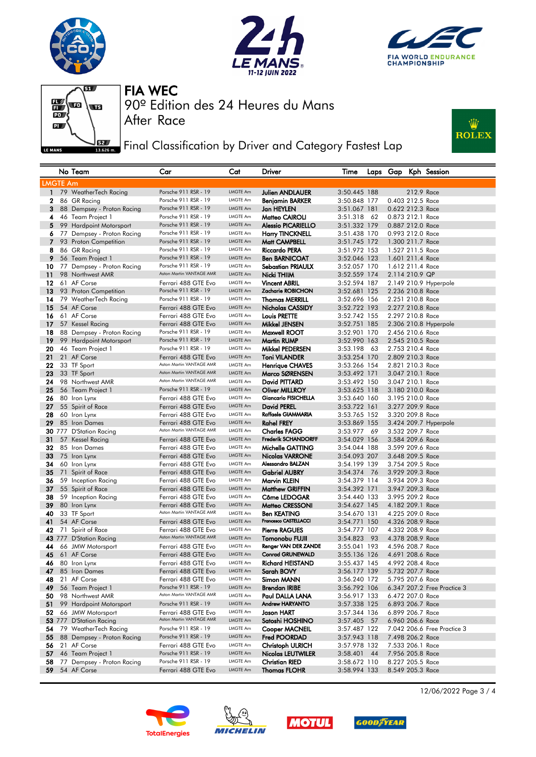







90º Edition des 24 Heures du Mans

After Race

FIA WEC

**J**EET Final Classification by Driver and Category Fastest Lap



|              |                 | No Team                                     | Car                                             | Cat                                | Driver                                    | Time                         |    | Laps Gap                             |            | Kph Session                 |
|--------------|-----------------|---------------------------------------------|-------------------------------------------------|------------------------------------|-------------------------------------------|------------------------------|----|--------------------------------------|------------|-----------------------------|
|              | <b>LMGTE Am</b> |                                             |                                                 |                                    |                                           |                              |    |                                      |            |                             |
| $\mathbf{1}$ |                 | 79 WeatherTech Racing                       | Porsche 911 RSR - 19                            | LMGTE Am                           | Julien ANDLAUER                           | 3:50.445 188                 |    |                                      | 212.9 Race |                             |
| $\mathbf{2}$ |                 | 86 GR Racing                                | Porsche 911 RSR - 19                            | LMGTE Am                           | Benjamin BARKER                           | 3:50.848 177                 |    | 0.403 212.5 Race                     |            |                             |
| 3            |                 | 88 Dempsey - Proton Racing                  | Porsche 911 RSR - 19                            | LMGTE Am                           | Jan HEYLEN                                | 3:51.067 181                 |    | 0.622 212.3 Race                     |            |                             |
| 4            |                 | 46 Team Project 1                           | Porsche 911 RSR - 19                            | LMGTE Am                           | Matteo CAIROLI                            | 3:51.318                     | 62 | 0.873 212.1 Race                     |            |                             |
| 5            |                 | 99 Hardpoint Motorsport                     | Porsche 911 RSR - 19                            | LMGTE Am                           | <b>Alessio PICARIELLO</b>                 | 3:51.332 179                 |    | 0.887 212.0 Race                     |            |                             |
| 6            |                 | 77 Dempsey - Proton Racing                  | Porsche 911 RSR - 19                            | <b>LMGTE Am</b>                    | <b>Harry TINCKNELL</b>                    | 3:51.438 170                 |    | 0.993 212.0 Race                     |            |                             |
| 7            |                 | 93 Proton Competition                       | Porsche 911 RSR - 19                            | <b>LMGTE Am</b>                    | Matt CAMPBELL                             | 3:51.745 172                 |    | 1.300 211.7 Race                     |            |                             |
| 8            |                 | 86 GR Racing                                | Porsche 911 RSR - 19                            | <b>LMGTE Am</b>                    | <b>Riccardo PERA</b>                      | 3:51.972 153                 |    | 1.527 211.5 Race                     |            |                             |
| 9            |                 | 56 Team Project 1                           | Porsche 911 RSR - 19                            | <b>LMGTE Am</b>                    | <b>Ben BARNICOAT</b>                      | 3:52.046 123                 |    | 1.601 211.4 Race                     |            |                             |
| 10           |                 | 77 Dempsey - Proton Racing                  | Porsche 911 RSR - 19                            | <b>LMGTE Am</b>                    | Sebastian PRIAULX                         | 3:52.057 170                 |    | 1.612 211.4 Race                     |            |                             |
| 11           |                 | 98 Northwest AMR                            | Aston Martin VANTAGE AMR                        | LMGTE Am                           | Nicki THIIM                               | 3:52.559 174                 |    | 2.114 210.9 QP                       |            |                             |
| 12           |                 | 61 AF Corse                                 | Ferrari 488 GTE Evo                             | LMGTE Am                           | <b>Vincent ABRIL</b>                      | 3:52.594 187                 |    |                                      |            | 2.149 210.9 Hyperpole       |
| 13           |                 | 93 Proton Competition                       | Porsche 911 RSR - 19                            | LMGTE Am                           | Zacharie ROBICHON                         | 3:52.681 125                 |    | 2.236 210.8 Race                     |            |                             |
| 14           |                 | 79 WeatherTech Racing                       | Porsche 911 RSR - 19                            | LMGTE Am                           | <b>Thomas MERRILL</b>                     | 3:52.696 156                 |    | 2.251 210.8 Race                     |            |                             |
| 15           |                 | 54 AF Corse                                 | Ferrari 488 GTE Evo                             | <b>LMGTE Am</b>                    | Nicholas CASSIDY                          | 3:52.722 193                 |    | 2.277 210.8 Race                     |            |                             |
| 16           |                 | 61 AF Corse                                 | Ferrari 488 GTE Evo                             | LMGTE Am                           | <b>Louis PRETTE</b>                       | 3:52.742 155                 |    | 2.297 210.8 Race                     |            |                             |
| 17           |                 | 57 Kessel Racing                            | Ferrari 488 GTE Evo                             | <b>LMGTE Am</b>                    | Mikkel JENSEN                             | 3:52.751 185                 |    |                                      |            | 2.306 210.8 Hyperpole       |
| 18           |                 | 88 Dempsey - Proton Racing                  | Porsche 911 RSR - 19                            | LMGTE Am                           | Maxwell ROOT                              | 3:52.901 170                 |    | 2.456 210.6 Race                     |            |                             |
| 19           |                 | 99 Hardpoint Motorsport                     | Porsche 911 RSR - 19                            | <b>LMGTE Am</b>                    | <b>Martin RUMP</b>                        | 3:52.990 163                 |    | 2.545 210.5 Race                     |            |                             |
| 20           |                 | 46 Team Project 1                           | Porsche 911 RSR - 19                            | LMGTE Am                           | Mikkel PEDERSEN                           | 3:53.198                     | 63 | 2.753 210.4 Race                     |            |                             |
| 21           |                 | 21 AF Corse                                 | Ferrari 488 GTE Evo<br>Aston Martin VANTAGE AMR | LMGTE Am                           | <b>Toni VILANDER</b>                      | 3:53.254 170                 |    | 2.809 210.3 Race                     |            |                             |
| 22           |                 | 33 TF Sport                                 | Aston Martin VANTAGE AMR                        | LMGTE Am                           | <b>Henrique CHAVES</b>                    | 3:53.266 154                 |    | 2.821 210.3 Race                     |            |                             |
| 23           |                 | 33 TF Sport                                 | Aston Martin VANTAGE AMR                        | LMGTE Am                           | Marco SØRENSEN                            | 3:53.492 171                 |    | 3.047 210.1 Race                     |            |                             |
| 24           |                 | 98 Northwest AMR                            | Porsche 911 RSR - 19                            | <b>LMGTE Am</b><br><b>LMGTE Am</b> | David PITTARD                             | 3:53.492 150                 |    | 3.047 210.1 Race                     |            |                             |
| 25<br>26     |                 | 56 Team Project 1                           |                                                 | LMGTE Am                           | Oliver MILLROY<br>Giancarlo FISICHELLA    | 3:53.625 118                 |    | 3.180 210.0 Race                     |            |                             |
| 27           |                 | 80 Iron Lynx<br>55 Spirit of Race           | Ferrari 488 GTE Evo<br>Ferrari 488 GTE Evo      | <b>LMGTE Am</b>                    | David PEREL                               | 3:53.640 160<br>3:53.722 161 |    | 3.195 210.0 Race<br>3.277 209.9 Race |            |                             |
| 28           |                 | 60 Iron Lynx                                | Ferrari 488 GTE Evo                             | <b>LMGTE Am</b>                    | Raffaele GIAMMARIA                        | 3:53.765 152                 |    | 3.320 209.8 Race                     |            |                             |
| 29           |                 | 85 Iron Dames                               | Ferrari 488 GTE Evo                             | <b>LMGTE Am</b>                    | <b>Rahel FREY</b>                         | 3:53.869 155                 |    |                                      |            | 3.424 209.7 Hyperpole       |
|              |                 | 30 777 D'Station Racing                     | Aston Martin VANTAGE AMR                        | <b>LMGTE Am</b>                    | <b>Charles FAGG</b>                       | 3:53.977 69                  |    | 3.532 209.7 Race                     |            |                             |
| 31           |                 | 57 Kessel Racing                            | Ferrari 488 GTE Evo                             | LMGTE Am                           | <b>Frederik SCHANDORFF</b>                | 3:54.029 156                 |    | 3.584 209.6 Race                     |            |                             |
| 32           |                 | 85 Iron Dames                               | Ferrari 488 GTE Evo                             | <b>LMGTE Am</b>                    | Michelle GATTING                          | 3:54.044 188                 |    | 3.599 209.6 Race                     |            |                             |
| 33           |                 | 75 Iron Lynx                                | Ferrari 488 GTE Evo                             | LMGTE Am                           | Nicolas VARRONE                           | 3:54.093 207                 |    | 3.648 209.5 Race                     |            |                             |
| 34           |                 | 60 Iron Lynx                                | Ferrari 488 GTE Evo                             | <b>LMGTE Am</b>                    | Alessandro BALZAN                         | 3:54.199 139                 |    | 3.754 209.5 Race                     |            |                             |
| 35           |                 | 71 Spirit of Race                           | Ferrari 488 GTE Evo                             | <b>LMGTE Am</b>                    | <b>Gabriel AUBRY</b>                      | 3:54.374                     | 76 | 3.929 209.3 Race                     |            |                             |
| 36           |                 | 59 Inception Racing                         | Ferrari 488 GTE Evo                             | <b>LMGTE Am</b>                    | Marvin KLEIN                              | 3:54.379 114                 |    | 3.934 209.3 Race                     |            |                             |
| 37           |                 | 55 Spirit of Race                           | Ferrari 488 GTE Evo                             | LMGTE Am                           | <b>Matthew GRIFFIN</b>                    | 3:54.392 171                 |    | 3.947 209.3 Race                     |            |                             |
| 38           |                 | 59 Inception Racing                         | Ferrari 488 GTE Evo                             | <b>LMGTE Am</b>                    | Côme LEDOGAR                              | 3:54.440 133                 |    | 3.995 209.2 Race                     |            |                             |
| 39           |                 | 80 Iron Lynx                                | Ferrari 488 GTE Evo                             | <b>LMGTE Am</b>                    | Matteo CRESSONI                           | 3:54.627 145                 |    | 4.182 209.1 Race                     |            |                             |
| 40           |                 | 33 TF Sport                                 | Aston Martin VANTAGE AMR                        | <b>LMGTE Am</b>                    | <b>Ben KEATING</b>                        | 3:54.670 131                 |    | 4.225 209.0 Race                     |            |                             |
| 41           |                 | 54 AF Corse                                 | Ferrari 488 GTE Evo                             | LMGTE Am                           | Francesco CASTELLACCI                     | 3:54.771 150                 |    | 4.326 208.9 Race                     |            |                             |
| 42           |                 | 71 Spirit of Race                           | Ferrari 488 GTE Evo                             | LMGTE Am                           | <b>Pierre RAGUES</b>                      | 3:54.777 107                 |    | 4.332 208.9 Race                     |            |                             |
|              |                 | 43 777 D'Station Racing                     | Aston Martin VANTAGE AMR                        | <b>LMGTE Am</b>                    | Tomonobu FUJII                            | 3:54.823                     | 93 | 4.378 208.9 Race                     |            |                             |
| 44           |                 | 66 JMW Motorsport                           | Ferrari 488 GTE Evo                             | LMGTE Am                           | Renger VAN DER ZANDE                      | 3:55.041 193                 |    | 4.596 208.7 Race                     |            |                             |
| 45           |                 | 61 AF Corse                                 | Ferrari 488 GTE Evo                             | <b>LMGTE Am</b>                    | <b>Conrad GRUNEWALD</b>                   | 3:55.136 126                 |    | 4.691 208.6 Race                     |            |                             |
| 46           |                 | 80 Iron Lynx                                | Ferrari 488 GTE Evo                             | LMGTE Am                           | Richard HEISTAND                          | 3:55.437 145                 |    | 4.992 208.4 Race                     |            |                             |
| 47           |                 | 85 Iron Dames                               | Ferrari 488 GTE Evo                             | LMGTE Am                           | Sarah BOVY                                | 3:56.177 139                 |    | 5.732 207.7 Race                     |            |                             |
| 48           |                 | 21 AF Corse                                 | Ferrari 488 GTE Evo<br>Porsche 911 RSR - 19     | LMGTE Am<br>LMGTE Am               | Simon MANN                                | 3:56.240 172                 |    | 5.795 207.6 Race                     |            |                             |
| 49           |                 | 56 Team Project 1                           | Aston Martin VANTAGE AMR                        | LMGTE Am                           | <b>Brendan IRIBE</b>                      | 3:56.792 106                 |    |                                      |            | 6.347 207.2 Free Practice 3 |
| 50           |                 | 98 Northwest AMR<br>99 Hardpoint Motorsport | Porsche 911 RSR - 19                            | LMGTE Am                           | Paul DALLA LANA<br><b>Andrew HARYANTO</b> | 3:56.917 133                 |    | 6.472 207.0 Race                     |            |                             |
| 51<br>52     |                 | 66 JMW Motorsport                           | Ferrari 488 GTE Evo                             | LMGTE Am                           | Jason HART                                | 3:57.338 125<br>3:57.344 136 |    | 6.893 206.7 Race<br>6.899 206.7 Race |            |                             |
|              |                 | 53 777 D'Station Racing                     | Aston Martin VANTAGE AMR                        | LMGTE Am                           | Satoshi HOSHINO                           | 3:57.405 57                  |    | 6.960 206.6 Race                     |            |                             |
| 54           |                 | 79 WeatherTech Racing                       | Porsche 911 RSR - 19                            | LMGTE Am                           | Cooper MACNEIL                            | 3:57.487 122                 |    |                                      |            | 7.042 206.6 Free Practice 3 |
| 55           |                 | 88 Dempsey - Proton Racing                  | Porsche 911 RSR - 19                            | LMGTE Am                           | Fred POORDAD                              | 3:57.943 118                 |    | 7.498 206.2 Race                     |            |                             |
| 56           |                 | 21 AF Corse                                 | Ferrari 488 GTE Evo                             | LMGTE Am                           | <b>Christoph ULRICH</b>                   | 3:57.978 132                 |    | 7.533 206.1 Race                     |            |                             |
| 57           |                 | 46 Team Project 1                           | Porsche 911 RSR - 19                            | LMGTE Am                           | <b>Nicolas LEUTWILER</b>                  | 3:58.401 44                  |    | 7.956 205.8 Race                     |            |                             |
| 58           |                 | 77 Dempsey - Proton Racing                  | Porsche 911 RSR - 19                            | LMGTE Am                           | <b>Christian RIED</b>                     | 3:58.672 110                 |    | 8.227 205.5 Race                     |            |                             |
| 59           |                 | 54 AF Corse                                 | Ferrari 488 GTE Evo                             | LMGTE Am                           | <b>Thomas FLOHR</b>                       | 3:58.994 133                 |    | 8.549 205.3 Race                     |            |                             |
|              |                 |                                             |                                                 |                                    |                                           |                              |    |                                      |            |                             |







**GOODFYEAR**